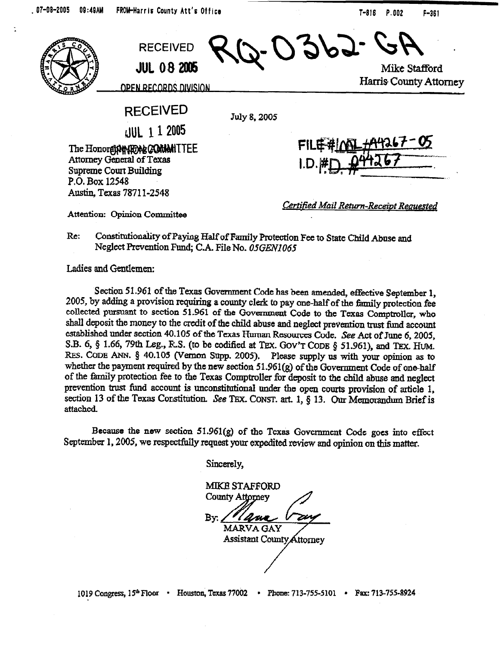999 **RECEIVED JUL 08 2005** 

**Mike Stafford Harris County Attorney** 

<u>OPEN RECORDS DIVISION</u>

**RECEIVED** 

July 8,2005

dUL 1 1 2005

The Honore**pPeNFOAL COMMITTEE** Attorney General of Texas Supreme Court Building **P.O. Box 12548**  Austin, Texas 78711-2548

**Attention: Opinion Committee** 

*certified Mud I?--Receiut Rem&ed* 

Re; Constitutionality of Paying Half of Family Protection Fee to State Child Abuse and Neglect Prevention Fund; C.A. File No. 05GEN1065

Ladies and Gentlemen:

Section 51.961 of the Texas Government Code has been amended, effective September 1, 2005, by adding a provision requiring a county clerk to pay one-half of the family protection fee collected pursuant to section 51.961 of the Govemment Code to the Texas Comptroller, who shall deposit the money to the credit of the child abuse and neglect prevention trust fund account established under section 40.105 of the Texas Human Resources Code. See Act of June 6, 2005, S.B. 6, § 1.66, 79th Leg., R.S. (to be codified at Tex. Gov'T CODE § 51.961), and Tex. HUM. RES. CODE ANN. § 40.105 (Vernon Supp. 2005). Please supply us with your opinion as to whether the payment required by the new section 51.961(g) of the Government Code of one-half of the family protection fee to the Texas Comptroller fir deposit to the child abuse and neglect prevention trust fund account is unconstitutional under the open courts provision of article 1, section 13 of the Texas Constitution. See TEX. CONST. art. 1, § 13. Our Memorandum Brief is attacbcd.

Because the new section  $51.961(g)$  of the Texas Government Code goes into effect September 1, 2005, we respectfully request your expedited review and opinion on this matter.

**sincerely,** 

**MIKE STAFFORD**  County Attorney By: **MARVA GAY Assistant County Attorney** 

**P**  /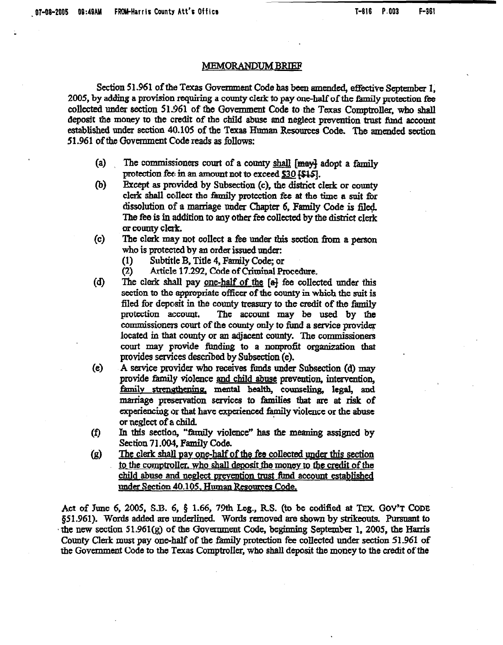## **MEMORANDUM BRIEF**

Section 51.961 of the Texas Government Code has been amended, effective September 1, 2005, by adding a provision requiring a county clerk to pay one-half of the family protection fee **collected under section 51.361** of the Government Code to the Texas Comptroller, who shalt deposit the money to the credit of the child abuse and neglect prevention trust fimd account established under section 40.105 of the Texas Human Resources Code. The amended section 51.961 of the Government Code reads as follows:

- The commissioners court of a county shall [may] adopt a family  $(a)$ protection fee in an amount not to exceed  $$30$   $$45$ .
- Except as provided by Subsection (c), the district clerk or county (b) clerk shall collect the family protection fee at the time a suit for dissolution of a marriage under Chapter 6, Family Code is filed. The fee is in addition to any other fee collected by the district clerk *or wlmty clerk*
- The clerk may not collect a fee under this section from a person  $(c)$ who is protected by an order issued under:
	- (1) Subtitle B, Title 4, Family Code; or<br>(2) Article 17.292, Code of Criminal Pr
	- Article 17.292, Code of Criminal Procedure.
- $\mathbf{d}$ The clerk shall pay one-half of the [a] fee collected under this section to the appropriate officer of the county in which the suit is filed for deposit in the county treasury to the credit of the family protection account. The account may be used by the commissioners court of the county only to fund a service provider located in that county or an adjacent county. The commissioners court may provide funding to a nonprofit organization that provides services described by Subsection (e).
- $(e)$ A service provider who receives funds under Subsection (d) may provide family violence and child abuse prevention, intervention, family strengthening, mental health, counseling, legal, and marriage preservation services to families that are at risk of experiencing or that have experienced family violence or the abuse or neglect of a child.
- In this section, "family violence" has the meaning assigned by  $(f)$ Section 71.004. Family Code.
- **The clexk shaII Day one-half** of the fee collected under this section  $\left( g\right)$ to the comptroller, who shall deposit the money to the credit of the child abuse and neglect prevention trust fund account established under Section 40.105, Human Resources Code.

Act of June 6, 2005, S.B. 6,  $\S$  1.66, 79th Leg., R.S. (to be codified at TEX. GOV'T CODE §51.961). Words added are underlined. Words removed are shown by strikeouts. Pursuant to the new section 51.961(g) of the Government Code, beginning September 1, 2005, the Harris County Clerk must pay one-half of the family protection fee collected under section 51.961 of the Government Code to the Texas Comptroller, who shall deposit the money to the credit of the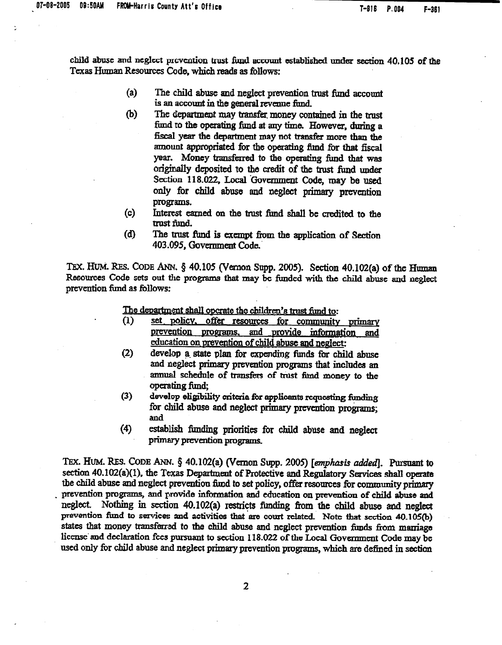child abuse and neglect provention trust fund account established under section  $40.105$  of the Texas Human Resources Code, which reads as follows:

- (a) The child abuse and neglect prevention trust fund account is an account in the general revenue fund.
- (b) The department may transfer money contained in the trust fund to the operating fund at any time. However, during a fiscal year the department may not transfer more than the amount appropriated for the operating find for that fiscal year. Money transferred to the operating fund that was originally deposited to the credit of the trust fund under Section 118.022, Local 'Government Code, may be used only for child abuse and neglect primary prevention programs.
- (c) Interest earned on the tmst fund shall be credited to the trust fund.
- (d) The trust fund is exempt from the application of Section 403.095, Government Code.

TEX. HUM. RES. CODE ANN. § 40.105 (Vernon Supp. 2005). Section 40.102(a) of the Human Resources Code sets out the programs that may be funded with the child abuse and neglect prevention fimd as follows:

The department shall operate the children's trust fund to:

- (1) set\_policy, offer resources for community primary prevention programs, and provide information and education on prevention of child abuse and neglect:
- (2) develop a state plan for expending funds for child abuse and neglect primary prevention programs that includes an annual schedule of transfers of trust fund money to the operating fund.
- (3) develop eligibility criteria for applicants requesting funding for child abuse and neglect primary prevention programs;<br>and
- (4) establish fimding priorities for chiId abuse and *neglect*  primary prevention programs.

TEX. HUM. RES. CODE ANN. § 40.102(a) (Vernon Supp. 2005) [emphasis added]. Pursuant to section 40.102(a)(1), the Texas Department of Protective and Regulatory Services shall operate the child abuse and neglect prevention find to set policy, offer resources for community primary prevention programs, and provide information and education on prevention of child abuse and neglect. Nothing in section 40.102(a) restricts funding from the child abuse and neglect prevention fund to services and activities that are court related. Note that section 40.105(b) states that money transferred to the child abuse and neglect prevention fimds from marriage license' and declaration fees pursuant to section 118.022 of the Local Government Code may be used only for child abuse and neglect primary prevention programs, which are defined in section

2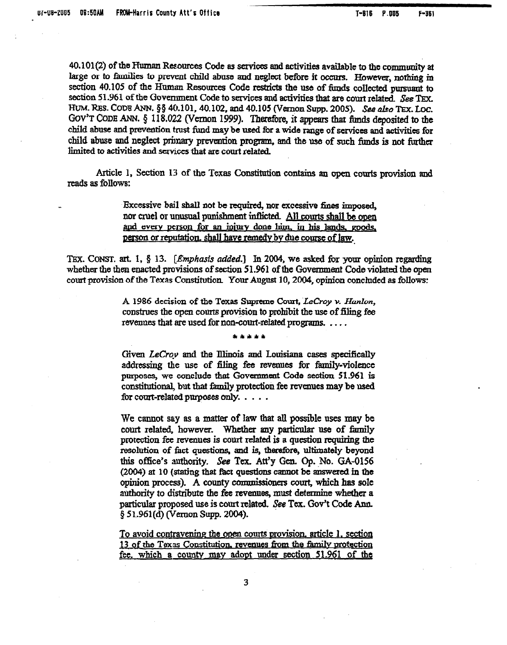40.101(2) of the Fluman Resources Code as services and activities available to the community at large or to families to prevent child abuse and neglect before it occurs. However, nothing in section 40.105 of the Human Resources Code restricts the use of funds collected pursuant to section 51.961 of the Government Code to services and activities that are court related. See TEX. HUM. RES. CODE ANN. §§ 40.101, 40.102, and 40.105 (Vernon Supp. 2005). See also TEX. Loc. GOV'T CODE ANN.  $\S$  118.022 (Vernon 1999). Therefore, it appears that funds deposited to the child abuse and prevention trust fund may be used for a wide range of services and activities for child abuse and neglect primary prevention program, and the use of such funds is not further limited to activities and services that are court related.

Article 1, Section 13 of the Texas Constitution contains an open courts provision and reads as folIows:

> Excessive bail shall not be required, nor excessive fines imposed, nor cruel or unusual punishment inflicted. All courts shall be open and every person for an injury done him, in his lands, goods, person or reputation, shall have remedy by due course of law.

TEX. CONST. art. I, 8 13. *[Emphasis aided.] In 2004, we asked* for your opinion regarding whether the then enacted provisions of section 51.961 of the Government Code violated the open court provision of the Texas Constitution. Your August 10, 2004, opinion concluded as follows:

> A 1986 decision of the Texas Supreme Court, LeCroy v. Hanlon, construes the open courts provision to prohibit the use of filing fee revenues that are used for non-court-related programs. . . . .

> > \*\*\*\*\*

Given LeCroy and the Illinois and Louisiana cases specifically addressing the use of filing fee revenues for family-violence purposes, we conclude that Government Code section 51.961 is constitutional, but that family protection fee revenues may be used for court-related purposes only. . . . .

We cannot say as a matter of law that all possible uses may be court related, however. Whether any particular use of family protection fee revenues is court related is a question requiring the resolution of fact questions, and is, therefore, ultimately beyond this office's authority. See Tex. Att'y Gen. Op. No. GA-0156 *(2004)* at 10 (stating that Fact questions cannot be answered in the opinion process). A county commissioners court, which has sole authority to distribute the fee revenues, must determine whether a particular proposed use is court related. See Tex. Gov't Code Ann. 6 5 1.961 (d) (Vczuon Supp. 2004).

To avoid contravening the open courts provision, article 1, section 13 of the Texas Constitution, revenues from the family protection fee. which a county may adopt under section 51.961 of the